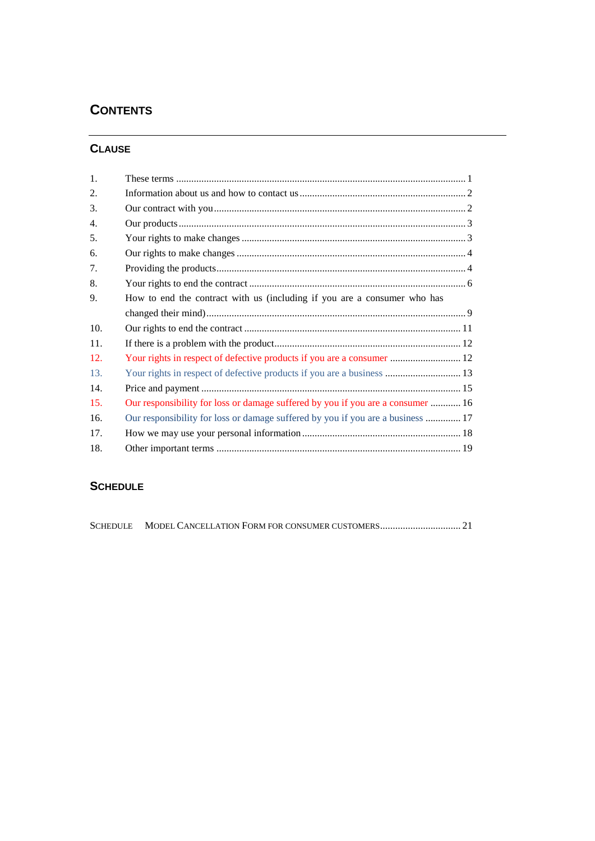# **CONTENTS**

# **CLAUSE**

| 1.  |                                                                                 |  |
|-----|---------------------------------------------------------------------------------|--|
| 2.  |                                                                                 |  |
| 3.  |                                                                                 |  |
| 4.  |                                                                                 |  |
| 5.  |                                                                                 |  |
| 6.  |                                                                                 |  |
| 7.  |                                                                                 |  |
| 8.  |                                                                                 |  |
| 9.  | How to end the contract with us (including if you are a consumer who has        |  |
|     |                                                                                 |  |
| 10. |                                                                                 |  |
| 11. |                                                                                 |  |
| 12. |                                                                                 |  |
| 13. |                                                                                 |  |
| 14. |                                                                                 |  |
| 15. | Our responsibility for loss or damage suffered by you if you are a consumer  16 |  |
| 16. | Our responsibility for loss or damage suffered by you if you are a business  17 |  |
| 17. |                                                                                 |  |
| 18. |                                                                                 |  |

# **SCHEDULE**

|--|--|--|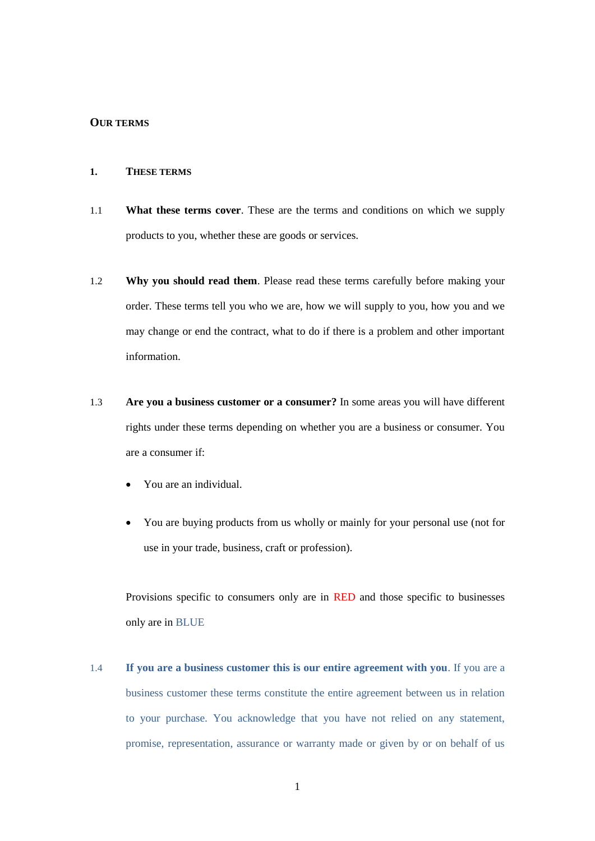#### **OUR TERMS**

#### **1. THESE TERMS**

- 1.1 **What these terms cover**. These are the terms and conditions on which we supply products to you, whether these are goods or services.
- 1.2 **Why you should read them**. Please read these terms carefully before making your order. These terms tell you who we are, how we will supply to you, how you and we may change or end the contract, what to do if there is a problem and other important information.
- 1.3 **Are you a business customer or a consumer?** In some areas you will have different rights under these terms depending on whether you are a business or consumer. You are a consumer if:
	- You are an individual.
	- You are buying products from us wholly or mainly for your personal use (not for use in your trade, business, craft or profession).

Provisions specific to consumers only are in RED and those specific to businesses only are in BLUE

1.4 **If you are a business customer this is our entire agreement with you**. If you are a business customer these terms constitute the entire agreement between us in relation to your purchase. You acknowledge that you have not relied on any statement, promise, representation, assurance or warranty made or given by or on behalf of us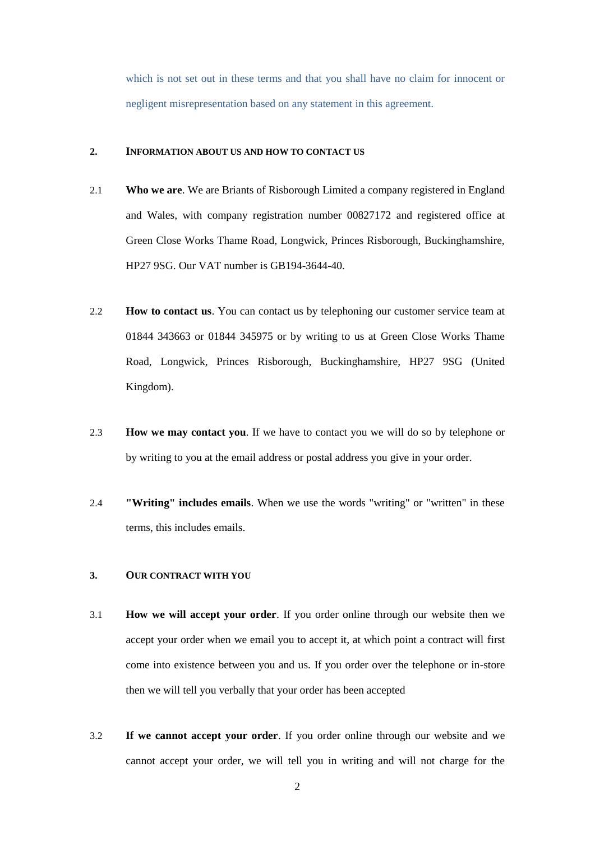which is not set out in these terms and that you shall have no claim for innocent or negligent misrepresentation based on any statement in this agreement.

#### **2. INFORMATION ABOUT US AND HOW TO CONTACT US**

- 2.1 **Who we are**. We are Briants of Risborough Limited a company registered in England and Wales, with company registration number 00827172 and registered office at Green Close Works Thame Road, Longwick, Princes Risborough, Buckinghamshire, HP27 9SG. Our VAT number is GB194-3644-40.
- 2.2 **How to contact us**. You can contact us by telephoning our customer service team at 01844 343663 or 01844 345975 or by writing to us at Green Close Works Thame Road, Longwick, Princes Risborough, Buckinghamshire, HP27 9SG (United Kingdom).
- 2.3 **How we may contact you**. If we have to contact you we will do so by telephone or by writing to you at the email address or postal address you give in your order.
- 2.4 **"Writing" includes emails**. When we use the words "writing" or "written" in these terms, this includes emails.

## **3. OUR CONTRACT WITH YOU**

- 3.1 **How we will accept your order**. If you order online through our website then we accept your order when we email you to accept it, at which point a contract will first come into existence between you and us. If you order over the telephone or in-store then we will tell you verbally that your order has been accepted
- 3.2 **If we cannot accept your order**. If you order online through our website and we cannot accept your order, we will tell you in writing and will not charge for the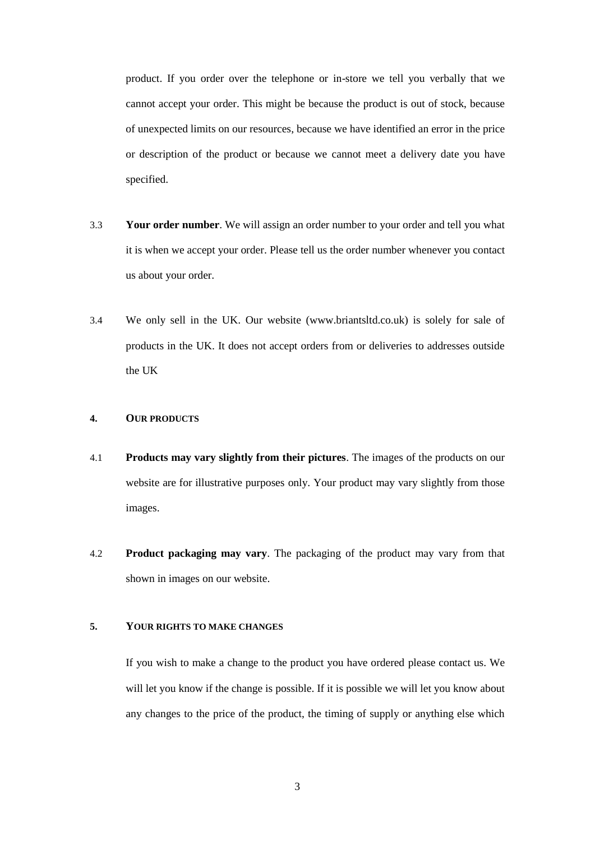product. If you order over the telephone or in-store we tell you verbally that we cannot accept your order. This might be because the product is out of stock, because of unexpected limits on our resources, because we have identified an error in the price or description of the product or because we cannot meet a delivery date you have specified.

- 3.3 **Your order number**. We will assign an order number to your order and tell you what it is when we accept your order. Please tell us the order number whenever you contact us about your order.
- 3.4 We only sell in the UK. Our website (www.briantsltd.co.uk) is solely for sale of products in the UK. It does not accept orders from or deliveries to addresses outside the UK

#### **4. OUR PRODUCTS**

- 4.1 **Products may vary slightly from their pictures**. The images of the products on our website are for illustrative purposes only. Your product may vary slightly from those images.
- 4.2 **Product packaging may vary**. The packaging of the product may vary from that shown in images on our website.

#### **5. YOUR RIGHTS TO MAKE CHANGES**

If you wish to make a change to the product you have ordered please contact us. We will let you know if the change is possible. If it is possible we will let you know about any changes to the price of the product, the timing of supply or anything else which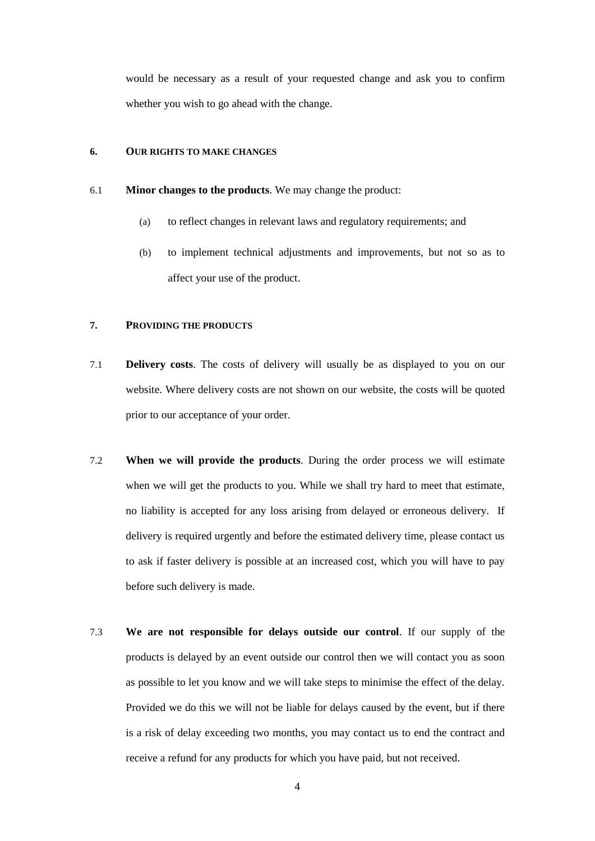would be necessary as a result of your requested change and ask you to confirm whether you wish to go ahead with the change.

#### <span id="page-4-0"></span>**6. OUR RIGHTS TO MAKE CHANGES**

#### 6.1 **Minor changes to the products**. We may change the product:

- (a) to reflect changes in relevant laws and regulatory requirements; and
- (b) to implement technical adjustments and improvements, but not so as to affect your use of the product.

#### **7. PROVIDING THE PRODUCTS**

- 7.1 **Delivery costs**. The costs of delivery will usually be as displayed to you on our website. Where delivery costs are not shown on our website, the costs will be quoted prior to our acceptance of your order.
- 7.2 **When we will provide the products**. During the order process we will estimate when we will get the products to you. While we shall try hard to meet that estimate, no liability is accepted for any loss arising from delayed or erroneous delivery. If delivery is required urgently and before the estimated delivery time, please contact us to ask if faster delivery is possible at an increased cost, which you will have to pay before such delivery is made.
- 7.3 **We are not responsible for delays outside our control**. If our supply of the products is delayed by an event outside our control then we will contact you as soon as possible to let you know and we will take steps to minimise the effect of the delay. Provided we do this we will not be liable for delays caused by the event, but if there is a risk of delay exceeding two months, you may contact us to end the contract and receive a refund for any products for which you have paid, but not received.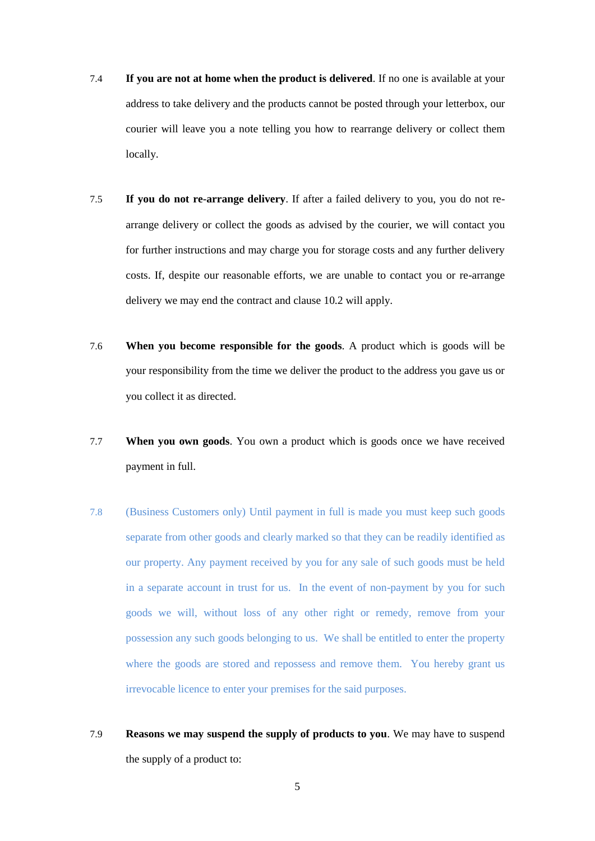- 7.4 **If you are not at home when the product is delivered**. If no one is available at your address to take delivery and the products cannot be posted through your letterbox, our courier will leave you a note telling you how to rearrange delivery or collect them locally.
- 7.5 **If you do not re-arrange delivery**. If after a failed delivery to you, you do not rearrange delivery or collect the goods as advised by the courier, we will contact you for further instructions and may charge you for storage costs and any further delivery costs. If, despite our reasonable efforts, we are unable to contact you or re-arrange delivery we may end the contract and clause [10.2](#page-12-0) will apply.
- 7.6 **When you become responsible for the goods**. A product which is goods will be your responsibility from the time we deliver the product to the address you gave us or you collect it as directed.
- 7.7 **When you own goods**. You own a product which is goods once we have received payment in full.
- 7.8 (Business Customers only) Until payment in full is made you must keep such goods separate from other goods and clearly marked so that they can be readily identified as our property. Any payment received by you for any sale of such goods must be held in a separate account in trust for us. In the event of non-payment by you for such goods we will, without loss of any other right or remedy, remove from your possession any such goods belonging to us. We shall be entitled to enter the property where the goods are stored and repossess and remove them. You hereby grant us irrevocable licence to enter your premises for the said purposes.
- 7.9 **Reasons we may suspend the supply of products to you**. We may have to suspend the supply of a product to: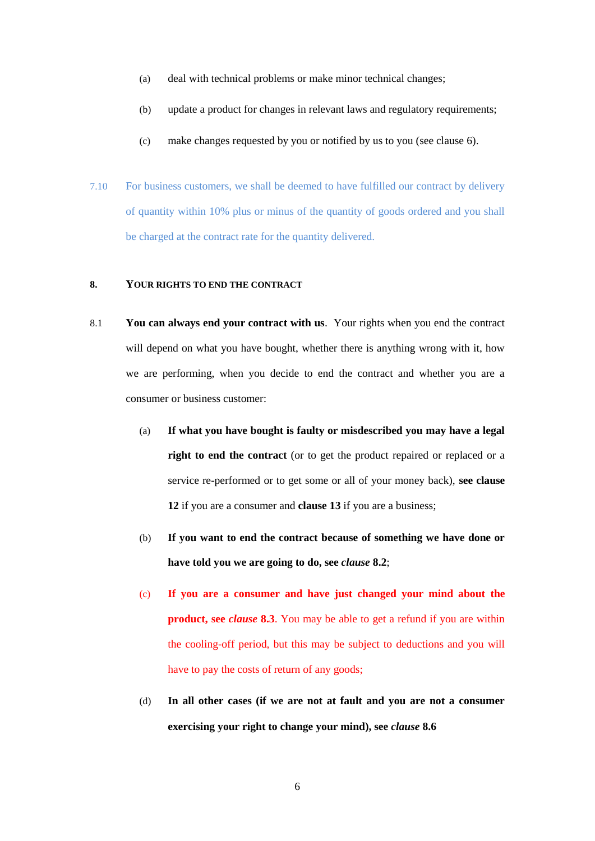- (a) deal with technical problems or make minor technical changes;
- (b) update a product for changes in relevant laws and regulatory requirements;
- (c) make changes requested by you or notified by us to you (see clause [6\)](#page-4-0).
- 7.10 For business customers, we shall be deemed to have fulfilled our contract by delivery of quantity within 10% plus or minus of the quantity of goods ordered and you shall be charged at the contract rate for the quantity delivered.

### **8. YOUR RIGHTS TO END THE CONTRACT**

- <span id="page-6-0"></span>8.1 **You can always end your contract with us**. Your rights when you end the contract will depend on what you have bought, whether there is anything wrong with it, how we are performing, when you decide to end the contract and whether you are a consumer or business customer:
	- (a) **If what you have bought is faulty or misdescribed you may have a legal** right to end the contract (or to get the product repaired or replaced or a service re-performed or to get some or all of your money back), **see clause [12](#page-12-1)** if you are a consumer and **clause [13](#page-13-0)** if you are a business;
	- (b) **If you want to end the contract because of something we have done or have told you we are going to do, see** *clause* **[8.2](#page-7-0)**;
	- (c) **If you are a consumer and have just changed your mind about the product, see** *clause* **[8.3](#page-7-1)**. You may be able to get a refund if you are within the cooling-off period, but this may be subject to deductions and you will have to pay the costs of return of any goods;
	- (d) **In all other cases (if we are not at fault and you are not a consumer exercising your right to change your mind), see** *clause* **[8.6](#page-8-0)**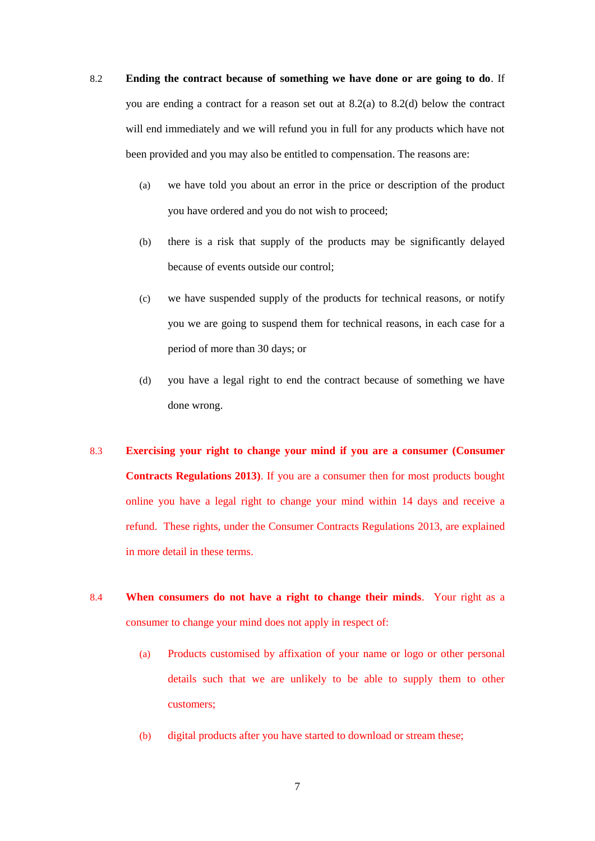- <span id="page-7-0"></span>8.2 **Ending the contract because of something we have done or are going to do**. If you are ending a contract for a reason set out at 8.2(a) to 8.2(d) below the contract will end immediately and we will refund you in full for any products which have not been provided and you may also be entitled to compensation. The reasons are:
	- (a) we have told you about an error in the price or description of the product you have ordered and you do not wish to proceed;
	- (b) there is a risk that supply of the products may be significantly delayed because of events outside our control;
	- (c) we have suspended supply of the products for technical reasons, or notify you we are going to suspend them for technical reasons, in each case for a period of more than 30 days; or
	- (d) you have a legal right to end the contract because of something we have done wrong.
- <span id="page-7-1"></span>8.3 **Exercising your right to change your mind if you are a consumer (Consumer Contracts Regulations 2013)**. If you are a consumer then for most products bought online you have a legal right to change your mind within 14 days and receive a refund. These rights, under the Consumer Contracts Regulations 2013, are explained in more detail in these terms.
- 8.4 **When consumers do not have a right to change their minds**. Your right as a consumer to change your mind does not apply in respect of:
	- (a) Products customised by affixation of your name or logo or other personal details such that we are unlikely to be able to supply them to other customers;
	- (b) digital products after you have started to download or stream these;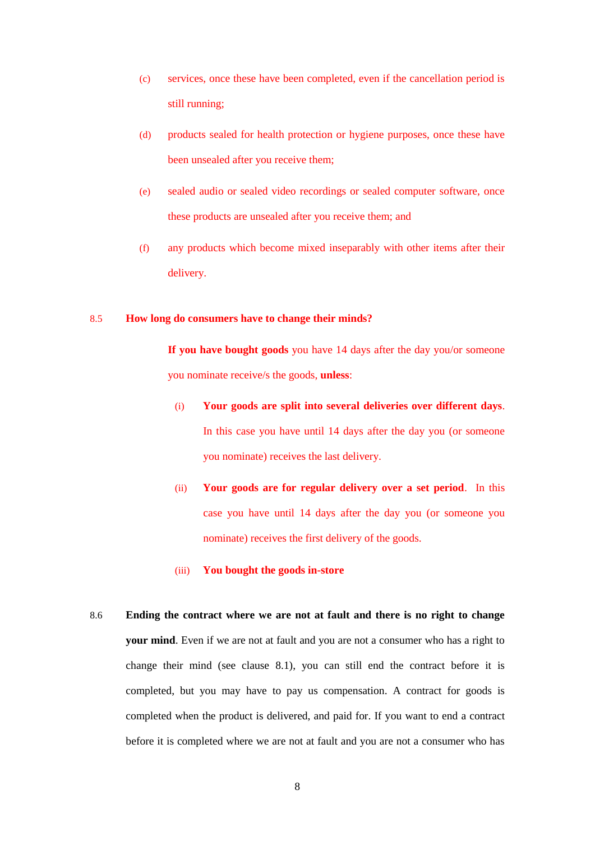- (c) services, once these have been completed, even if the cancellation period is still running;
- (d) products sealed for health protection or hygiene purposes, once these have been unsealed after you receive them;
- (e) sealed audio or sealed video recordings or sealed computer software, once these products are unsealed after you receive them; and
- (f) any products which become mixed inseparably with other items after their delivery.

#### 8.5 **How long do consumers have to change their minds?**

**If you have bought goods** you have 14 days after the day you/or someone you nominate receive/s the goods, **unless**:

- (i) **Your goods are split into several deliveries over different days**. In this case you have until 14 days after the day you (or someone you nominate) receives the last delivery.
- (ii) **Your goods are for regular delivery over a set period**. In this case you have until 14 days after the day you (or someone you nominate) receives the first delivery of the goods.

#### (iii) **You bought the goods in-store**

<span id="page-8-0"></span>8.6 **Ending the contract where we are not at fault and there is no right to change your mind**. Even if we are not at fault and you are not a consumer who has a right to change their mind (see clause [8.1\)](#page-6-0), you can still end the contract before it is completed, but you may have to pay us compensation. A contract for goods is completed when the product is delivered, and paid for. If you want to end a contract before it is completed where we are not at fault and you are not a consumer who has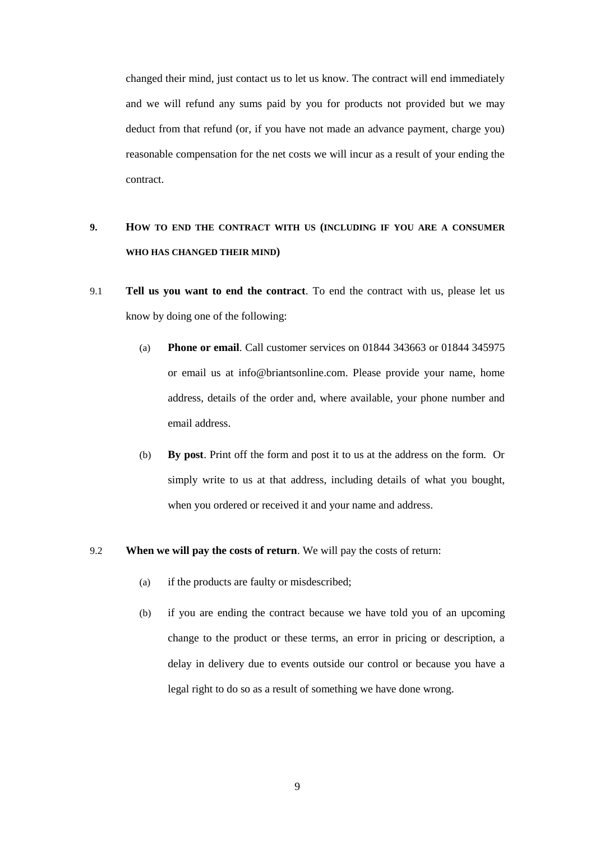changed their mind, just contact us to let us know. The contract will end immediately and we will refund any sums paid by you for products not provided but we may deduct from that refund (or, if you have not made an advance payment, charge you) reasonable compensation for the net costs we will incur as a result of your ending the contract.

# **9. HOW TO END THE CONTRACT WITH US (INCLUDING IF YOU ARE A CONSUMER WHO HAS CHANGED THEIR MIND)**

- 9.1 **Tell us you want to end the contract**. To end the contract with us, please let us know by doing one of the following:
	- (a) **Phone or email**. Call customer services on 01844 343663 or 01844 345975 or email us at info@briantsonline.com. Please provide your name, home address, details of the order and, where available, your phone number and email address.
	- (b) **By post**. Print off the form and post it to us at the address on the form. Or simply write to us at that address, including details of what you bought, when you ordered or received it and your name and address.

#### 9.2 **When we will pay the costs of return**. We will pay the costs of return:

- (a) if the products are faulty or misdescribed;
- (b) if you are ending the contract because we have told you of an upcoming change to the product or these terms, an error in pricing or description, a delay in delivery due to events outside our control or because you have a legal right to do so as a result of something we have done wrong.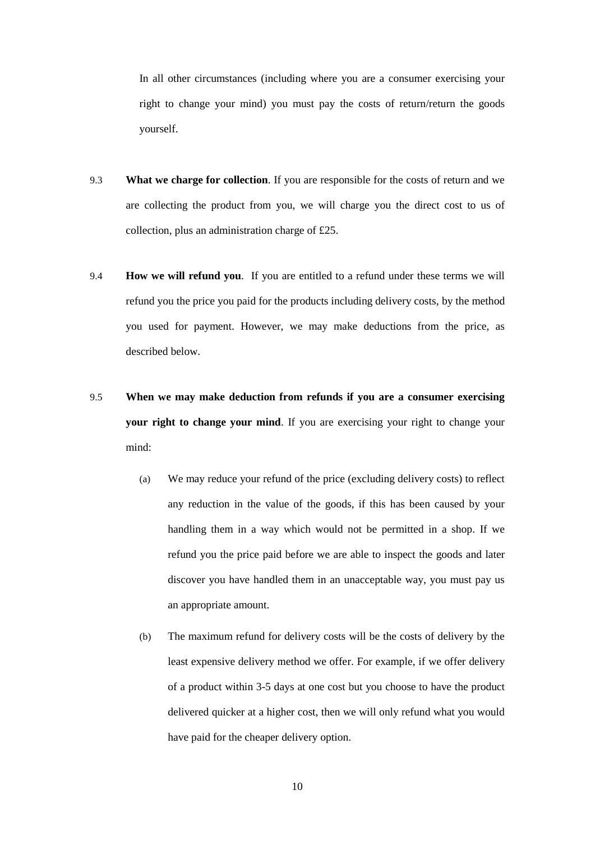In all other circumstances (including where you are a consumer exercising your right to change your mind) you must pay the costs of return/return the goods yourself.

- 9.3 **What we charge for collection**. If you are responsible for the costs of return and we are collecting the product from you, we will charge you the direct cost to us of collection, plus an administration charge of £25.
- 9.4 **How we will refund you**. If you are entitled to a refund under these terms we will refund you the price you paid for the products including delivery costs, by the method you used for payment. However, we may make deductions from the price, as described below.
- 9.5 **When we may make deduction from refunds if you are a consumer exercising your right to change your mind**. If you are exercising your right to change your mind:
	- (a) We may reduce your refund of the price (excluding delivery costs) to reflect any reduction in the value of the goods, if this has been caused by your handling them in a way which would not be permitted in a shop. If we refund you the price paid before we are able to inspect the goods and later discover you have handled them in an unacceptable way, you must pay us an appropriate amount.
	- (b) The maximum refund for delivery costs will be the costs of delivery by the least expensive delivery method we offer. For example, if we offer delivery of a product within 3-5 days at one cost but you choose to have the product delivered quicker at a higher cost, then we will only refund what you would have paid for the cheaper delivery option.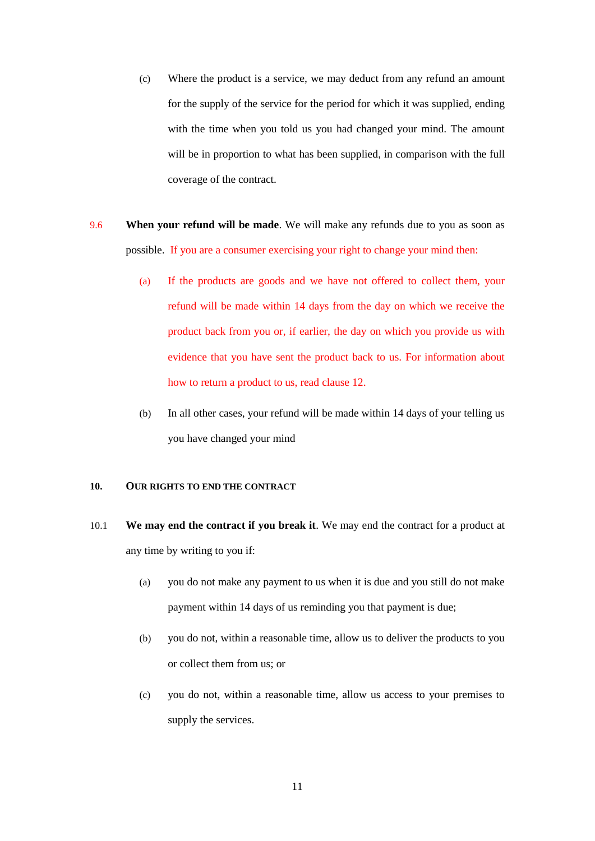- (c) Where the product is a service, we may deduct from any refund an amount for the supply of the service for the period for which it was supplied, ending with the time when you told us you had changed your mind. The amount will be in proportion to what has been supplied, in comparison with the full coverage of the contract.
- 9.6 **When your refund will be made**. We will make any refunds due to you as soon as possible. If you are a consumer exercising your right to change your mind then:
	- (a) If the products are goods and we have not offered to collect them, your refund will be made within 14 days from the day on which we receive the product back from you or, if earlier, the day on which you provide us with evidence that you have sent the product back to us. For information about how to return a product to us, read clause 12.
	- (b) In all other cases, your refund will be made within 14 days of your telling us you have changed your mind

## **10. OUR RIGHTS TO END THE CONTRACT**

- <span id="page-11-0"></span>10.1 **We may end the contract if you break it**. We may end the contract for a product at any time by writing to you if:
	- (a) you do not make any payment to us when it is due and you still do not make payment within 14 days of us reminding you that payment is due;
	- (b) you do not, within a reasonable time, allow us to deliver the products to you or collect them from us; or
	- (c) you do not, within a reasonable time, allow us access to your premises to supply the services.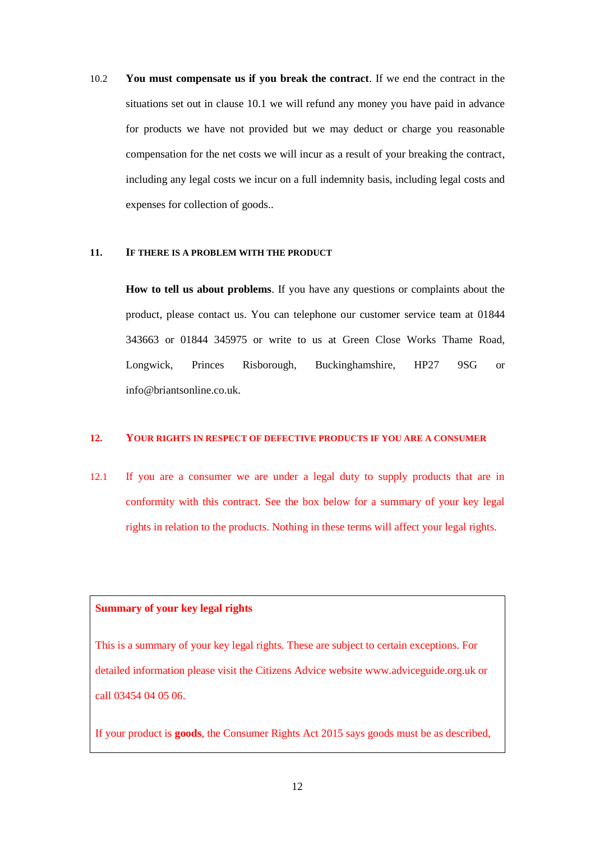<span id="page-12-0"></span>10.2 **You must compensate us if you break the contract**. If we end the contract in the situations set out in clause [10.1](#page-11-0) we will refund any money you have paid in advance for products we have not provided but we may deduct or charge you reasonable compensation for the net costs we will incur as a result of your breaking the contract, including any legal costs we incur on a full indemnity basis, including legal costs and expenses for collection of goods..

#### **11. IF THERE IS A PROBLEM WITH THE PRODUCT**

**How to tell us about problems**. If you have any questions or complaints about the product, please contact us. You can telephone our customer service team at 01844 343663 or 01844 345975 or write to us at Green Close Works Thame Road, Longwick, Princes Risborough, Buckinghamshire, HP27 9SG or info@briantsonline.co.uk.

#### <span id="page-12-1"></span>**12. YOUR RIGHTS IN RESPECT OF DEFECTIVE PRODUCTS IF YOU ARE A CONSUMER**

<span id="page-12-2"></span>12.1 If you are a consumer we are under a legal duty to supply products that are in conformity with this contract. See the box below for a summary of your key legal rights in relation to the products. Nothing in these terms will affect your legal rights.

# **Summary of your key legal rights**

This is a summary of your key legal rights. These are subject to certain exceptions. For detailed information please visit the Citizens Advice website www.adviceguide.org.uk or call 03454 04 05 06.

If your product is **goods**, the Consumer Rights Act 2015 says goods must be as described,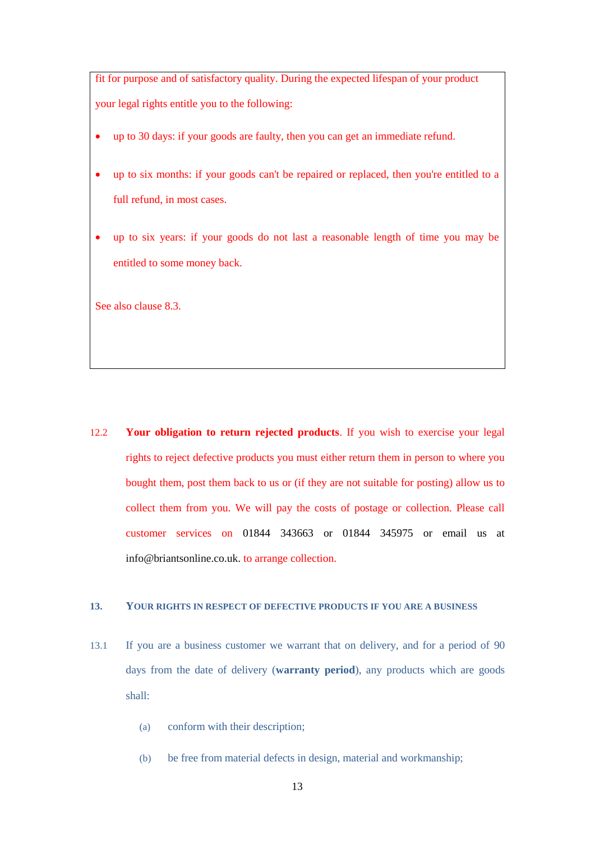fit for purpose and of satisfactory quality. During the expected lifespan of your product your legal rights entitle you to the following:

- up to 30 days: if your goods are faulty, then you can get an immediate refund.
- up to six months: if your goods can't be repaired or replaced, then you're entitled to a full refund, in most cases.
- up to six years: if your goods do not last a reasonable length of time you may be entitled to some money back.

See also claus[e 8.3.](#page-7-1)

12.2 **Your obligation to return rejected products**. If you wish to exercise your legal rights to reject defective products you must either return them in person to where you bought them, post them back to us or (if they are not suitable for posting) allow us to collect them from you. We will pay the costs of postage or collection. Please call customer services on 01844 343663 or 01844 345975 or email us at info@briantsonline.co.uk. to arrange collection.

## <span id="page-13-0"></span>**13. YOUR RIGHTS IN RESPECT OF DEFECTIVE PRODUCTS IF YOU ARE A BUSINESS**

- <span id="page-13-1"></span>13.1 If you are a business customer we warrant that on delivery, and for a period of 90 days from the date of delivery (**warranty period**), any products which are goods shall:
	- (a) conform with their description;
	- (b) be free from material defects in design, material and workmanship;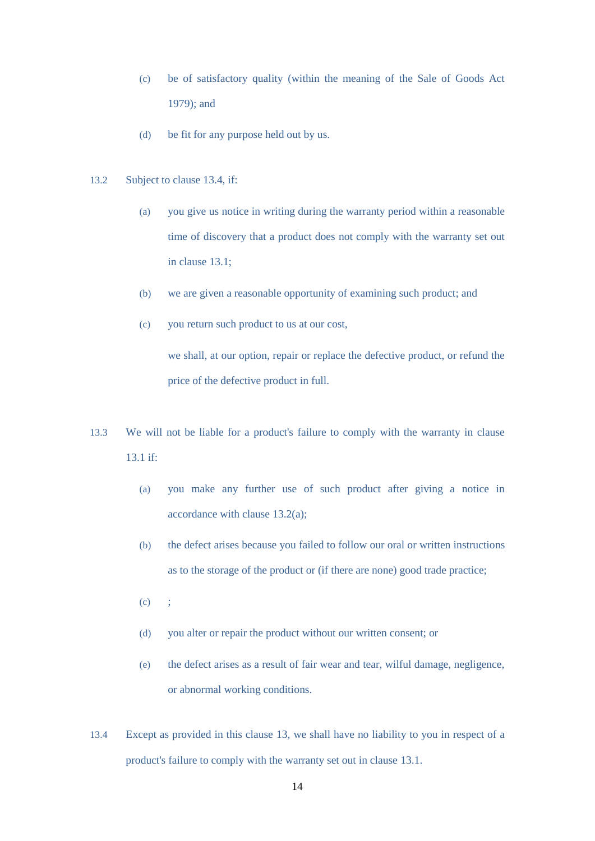- (c) be of satisfactory quality (within the meaning of the Sale of Goods Act 1979); and
- (d) be fit for any purpose held out by us.
- <span id="page-14-1"></span><span id="page-14-0"></span>13.2 Subject to clause 13.4, if:
	- (a) you give us notice in writing during the warranty period within a reasonable time of discovery that a product does not comply with the warranty set out in clause [13.1;](#page-13-1)
	- (b) we are given a reasonable opportunity of examining such product; and
	- (c) you return such product to us at our cost,

we shall, at our option, repair or replace the defective product, or refund the price of the defective product in full.

- 13.3 We will not be liable for a product's failure to comply with the warranty in clause [13.1](#page-13-1) if:
	- (a) you make any further use of such product after giving a notice in accordance with claus[e 13.2\(a\);](#page-14-0)
	- (b) the defect arises because you failed to follow our oral or written instructions as to the storage of the product or (if there are none) good trade practice;
	- $(c)$  ;
	- (d) you alter or repair the product without our written consent; or
	- (e) the defect arises as a result of fair wear and tear, wilful damage, negligence, or abnormal working conditions.
- 13.4 Except as provided in this clause [13,](#page-13-0) we shall have no liability to you in respect of a product's failure to comply with the warranty set out in clause [13.1.](#page-13-1)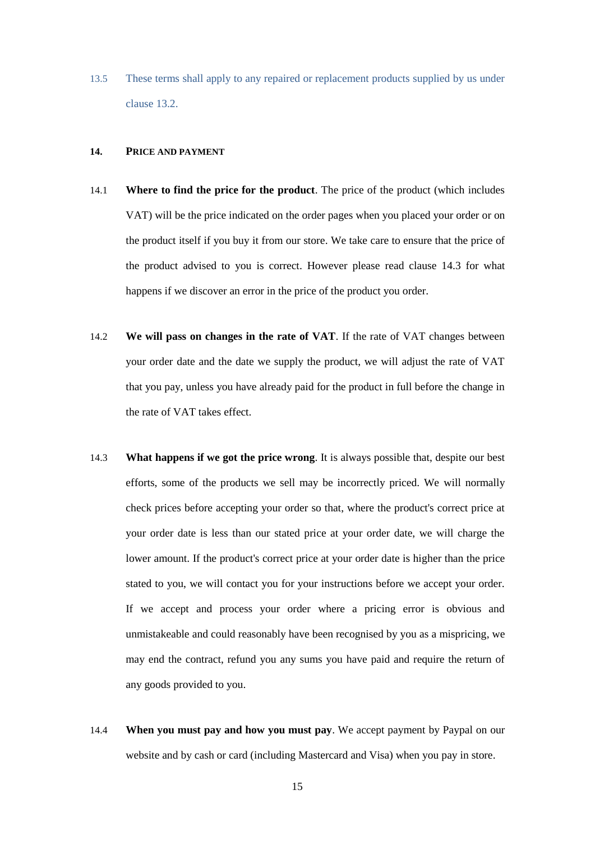13.5 These terms shall apply to any repaired or replacement products supplied by us under clause [13.2.](#page-14-1)

#### **14. PRICE AND PAYMENT**

- 14.1 **Where to find the price for the product**. The price of the product (which includes VAT) will be the price indicated on the order pages when you placed your order or on the product itself if you buy it from our store. We take care to ensure that the price of the product advised to you is correct. However please read clause [14.3](#page-15-0) for what happens if we discover an error in the price of the product you order.
- 14.2 **We will pass on changes in the rate of VAT**. If the rate of VAT changes between your order date and the date we supply the product, we will adjust the rate of VAT that you pay, unless you have already paid for the product in full before the change in the rate of VAT takes effect.
- <span id="page-15-0"></span>14.3 **What happens if we got the price wrong**. It is always possible that, despite our best efforts, some of the products we sell may be incorrectly priced. We will normally check prices before accepting your order so that, where the product's correct price at your order date is less than our stated price at your order date, we will charge the lower amount. If the product's correct price at your order date is higher than the price stated to you, we will contact you for your instructions before we accept your order. If we accept and process your order where a pricing error is obvious and unmistakeable and could reasonably have been recognised by you as a mispricing, we may end the contract, refund you any sums you have paid and require the return of any goods provided to you.
- 14.4 **When you must pay and how you must pay**. We accept payment by Paypal on our website and by cash or card (including Mastercard and Visa) when you pay in store.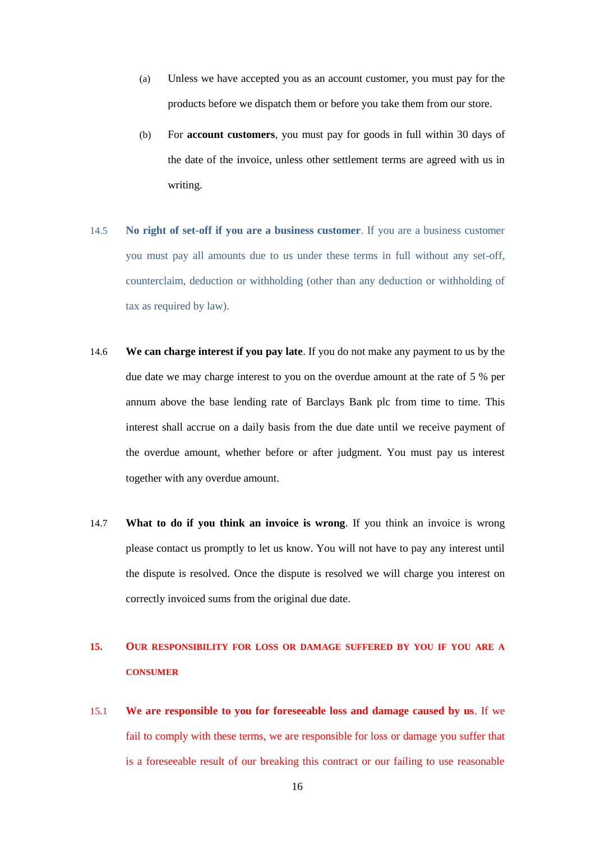- (a) Unless we have accepted you as an account customer, you must pay for the products before we dispatch them or before you take them from our store.
- (b) For **account customers**, you must pay for goods in full within 30 days of the date of the invoice, unless other settlement terms are agreed with us in writing.
- 14.5 **No right of set-off if you are a business customer**. If you are a business customer you must pay all amounts due to us under these terms in full without any set-off, counterclaim, deduction or withholding (other than any deduction or withholding of tax as required by law).
- 14.6 **We can charge interest if you pay late**. If you do not make any payment to us by the due date we may charge interest to you on the overdue amount at the rate of 5 % per annum above the base lending rate of Barclays Bank plc from time to time. This interest shall accrue on a daily basis from the due date until we receive payment of the overdue amount, whether before or after judgment. You must pay us interest together with any overdue amount.
- 14.7 **What to do if you think an invoice is wrong**. If you think an invoice is wrong please contact us promptly to let us know. You will not have to pay any interest until the dispute is resolved. Once the dispute is resolved we will charge you interest on correctly invoiced sums from the original due date.

# **15. OUR RESPONSIBILITY FOR LOSS OR DAMAGE SUFFERED BY YOU IF YOU ARE A CONSUMER**

15.1 **We are responsible to you for foreseeable loss and damage caused by us**. If we fail to comply with these terms, we are responsible for loss or damage you suffer that is a foreseeable result of our breaking this contract or our failing to use reasonable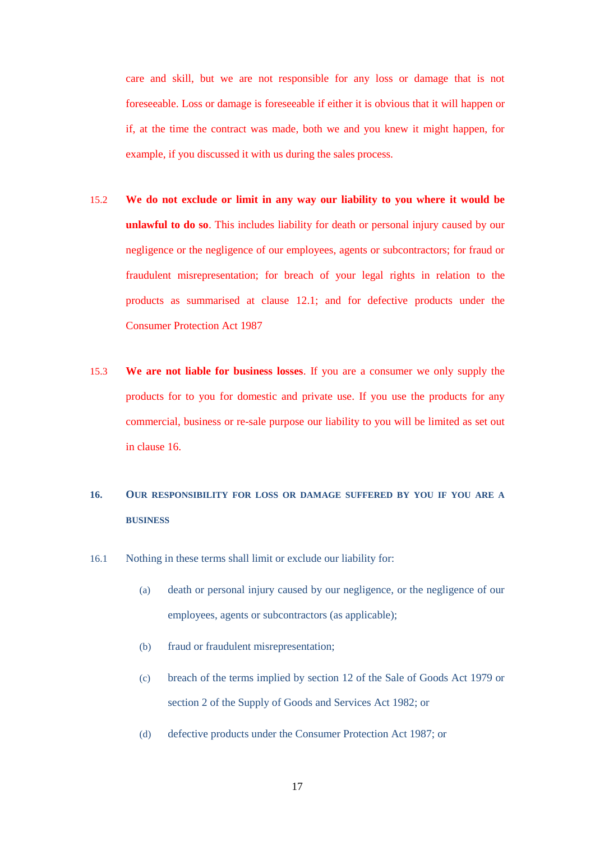care and skill, but we are not responsible for any loss or damage that is not foreseeable. Loss or damage is foreseeable if either it is obvious that it will happen or if, at the time the contract was made, both we and you knew it might happen, for example, if you discussed it with us during the sales process.

- 15.2 **We do not exclude or limit in any way our liability to you where it would be unlawful to do so**. This includes liability for death or personal injury caused by our negligence or the negligence of our employees, agents or subcontractors; for fraud or fraudulent misrepresentation; for breach of your legal rights in relation to the products as summarised at clause [12.1;](#page-12-2) and for defective products under the Consumer Protection Act 1987
- 15.3 **We are not liable for business losses**. If you are a consumer we only supply the products for to you for domestic and private use. If you use the products for any commercial, business or re-sale purpose our liability to you will be limited as set out in clause [16.](#page-17-0)

# <span id="page-17-0"></span>**16. OUR RESPONSIBILITY FOR LOSS OR DAMAGE SUFFERED BY YOU IF YOU ARE A BUSINESS**

- <span id="page-17-1"></span>16.1 Nothing in these terms shall limit or exclude our liability for:
	- (a) death or personal injury caused by our negligence, or the negligence of our employees, agents or subcontractors (as applicable);
	- (b) fraud or fraudulent misrepresentation;
	- (c) breach of the terms implied by section 12 of the Sale of Goods Act 1979 or section 2 of the Supply of Goods and Services Act 1982; or
	- (d) defective products under the Consumer Protection Act 1987; or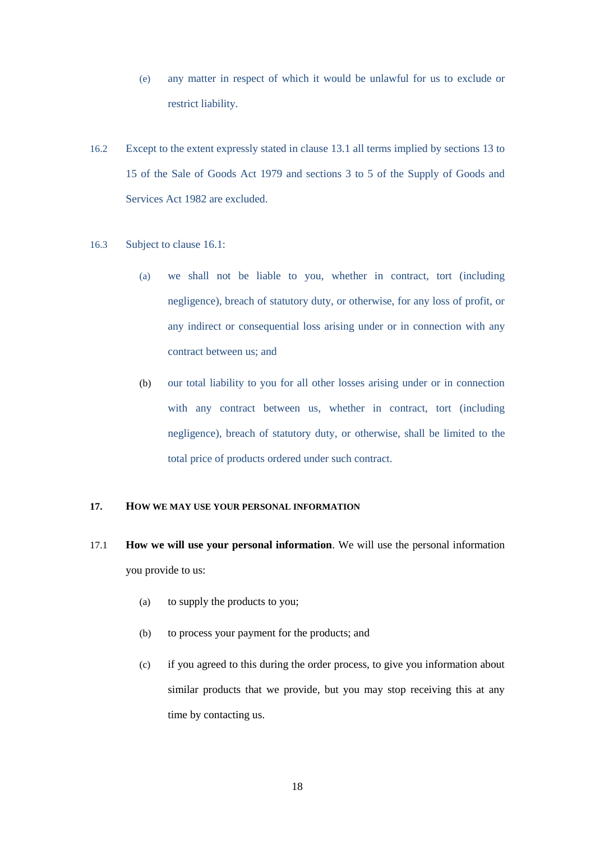- (e) any matter in respect of which it would be unlawful for us to exclude or restrict liability.
- 16.2 Except to the extent expressly stated in clause [13.1](#page-13-1) all terms implied by sections 13 to 15 of the Sale of Goods Act 1979 and sections 3 to 5 of the Supply of Goods and Services Act 1982 are excluded.
- 16.3 Subject to clause [16.1:](#page-17-1)
	- (a) we shall not be liable to you, whether in contract, tort (including negligence), breach of statutory duty, or otherwise, for any loss of profit, or any indirect or consequential loss arising under or in connection with any contract between us; and
	- (b) our total liability to you for all other losses arising under or in connection with any contract between us, whether in contract, tort (including negligence), breach of statutory duty, or otherwise, shall be limited to the total price of products ordered under such contract.

#### **17. HOW WE MAY USE YOUR PERSONAL INFORMATION**

- 17.1 **How we will use your personal information**. We will use the personal information you provide to us:
	- (a) to supply the products to you;
	- (b) to process your payment for the products; and
	- (c) if you agreed to this during the order process, to give you information about similar products that we provide, but you may stop receiving this at any time by contacting us.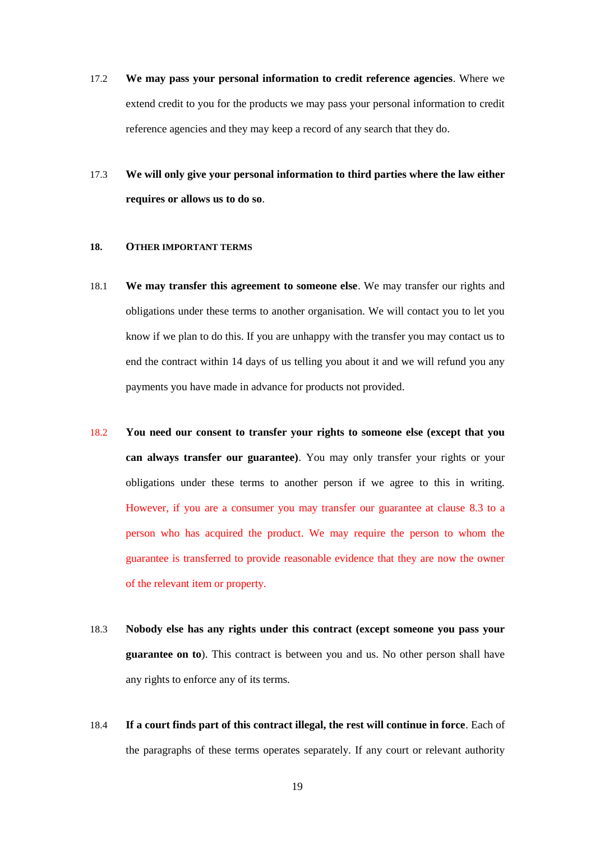- 17.2 **We may pass your personal information to credit reference agencies**. Where we extend credit to you for the products we may pass your personal information to credit reference agencies and they may keep a record of any search that they do.
- 17.3 **We will only give your personal information to third parties where the law either requires or allows us to do so**.

### **18. OTHER IMPORTANT TERMS**

- 18.1 **We may transfer this agreement to someone else**. We may transfer our rights and obligations under these terms to another organisation. We will contact you to let you know if we plan to do this. If you are unhappy with the transfer you may contact us to end the contract within 14 days of us telling you about it and we will refund you any payments you have made in advance for products not provided.
- 18.2 **You need our consent to transfer your rights to someone else (except that you can always transfer our guarantee)**. You may only transfer your rights or your obligations under these terms to another person if we agree to this in writing. However, if you are a consumer you may transfer our guarantee at clause 8.3 to a person who has acquired the product. We may require the person to whom the guarantee is transferred to provide reasonable evidence that they are now the owner of the relevant item or property.
- 18.3 **Nobody else has any rights under this contract (except someone you pass your guarantee on to**). This contract is between you and us. No other person shall have any rights to enforce any of its terms.
- 18.4 **If a court finds part of this contract illegal, the rest will continue in force**. Each of the paragraphs of these terms operates separately. If any court or relevant authority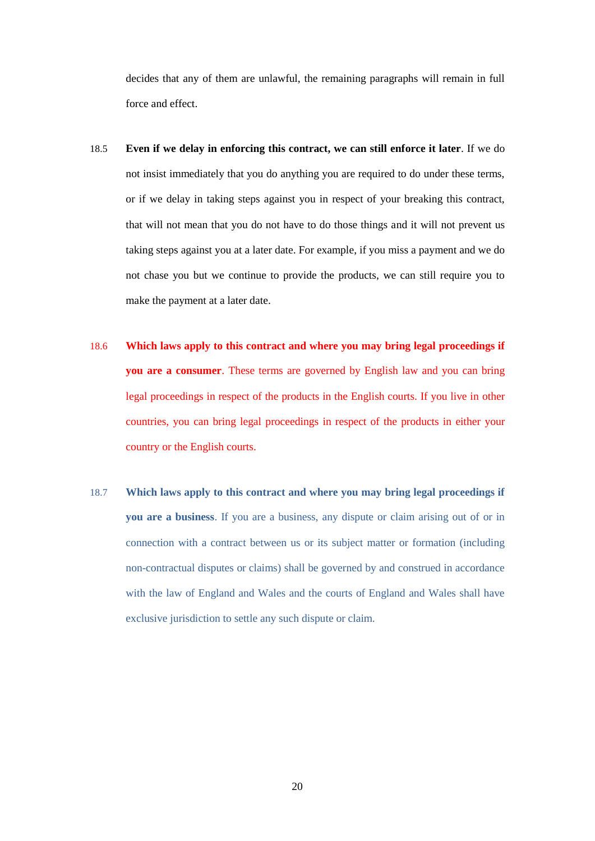decides that any of them are unlawful, the remaining paragraphs will remain in full force and effect.

- 18.5 **Even if we delay in enforcing this contract, we can still enforce it later**. If we do not insist immediately that you do anything you are required to do under these terms, or if we delay in taking steps against you in respect of your breaking this contract, that will not mean that you do not have to do those things and it will not prevent us taking steps against you at a later date. For example, if you miss a payment and we do not chase you but we continue to provide the products, we can still require you to make the payment at a later date.
- 18.6 **Which laws apply to this contract and where you may bring legal proceedings if you are a consumer**. These terms are governed by English law and you can bring legal proceedings in respect of the products in the English courts. If you live in other countries, you can bring legal proceedings in respect of the products in either your country or the English courts.
- 18.7 **Which laws apply to this contract and where you may bring legal proceedings if you are a business**. If you are a business, any dispute or claim arising out of or in connection with a contract between us or its subject matter or formation (including non-contractual disputes or claims) shall be governed by and construed in accordance with the law of England and Wales and the courts of England and Wales shall have exclusive jurisdiction to settle any such dispute or claim.